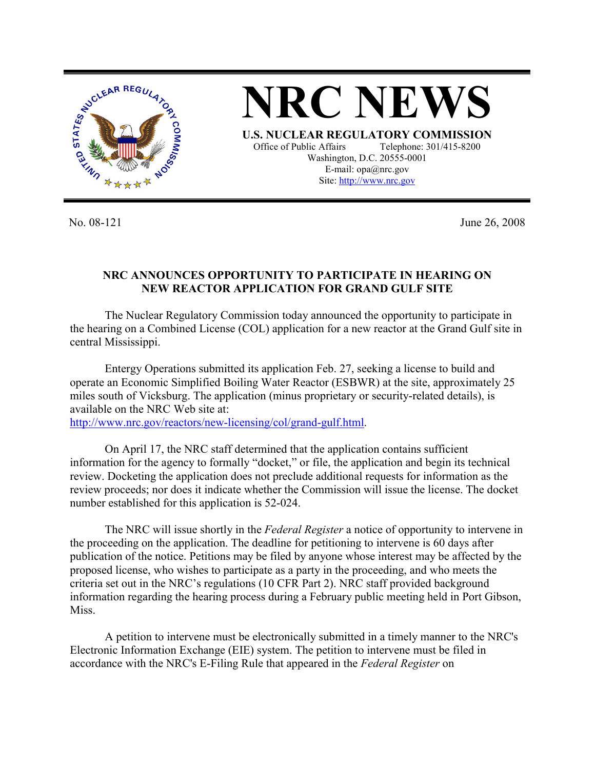

**NRC NEWS U.S. NUCLEAR REGULATORY COMMISSION**

Office of Public Affairs Telephone: 301/415-8200 Washington, D.C. 20555-0001 E-mail: opa@nrc.gov Site: http://www.nrc.gov

No. 08-121 June 26, 2008

## **NRC ANNOUNCES OPPORTUNITY TO PARTICIPATE IN HEARING ON NEW REACTOR APPLICATION FOR GRAND GULF SITE**

 The Nuclear Regulatory Commission today announced the opportunity to participate in the hearing on a Combined License (COL) application for a new reactor at the Grand Gulf site in central Mississippi.

Entergy Operations submitted its application Feb. 27, seeking a license to build and operate an Economic Simplified Boiling Water Reactor (ESBWR) at the site, approximately 25 miles south of Vicksburg. The application (minus proprietary or security-related details), is available on the NRC Web site at: http://www.nrc.gov/reactors/new-licensing/col/grand-gulf.html.

 On April 17, the NRC staff determined that the application contains sufficient information for the agency to formally "docket," or file, the application and begin its technical review. Docketing the application does not preclude additional requests for information as the review proceeds; nor does it indicate whether the Commission will issue the license. The docket number established for this application is 52-024.

 The NRC will issue shortly in the *Federal Register* a notice of opportunity to intervene in the proceeding on the application. The deadline for petitioning to intervene is 60 days after publication of the notice. Petitions may be filed by anyone whose interest may be affected by the proposed license, who wishes to participate as a party in the proceeding, and who meets the criteria set out in the NRC's regulations (10 CFR Part 2). NRC staff provided background information regarding the hearing process during a February public meeting held in Port Gibson, Miss.

 A petition to intervene must be electronically submitted in a timely manner to the NRC's Electronic Information Exchange (EIE) system. The petition to intervene must be filed in accordance with the NRC's E-Filing Rule that appeared in the *Federal Register* on